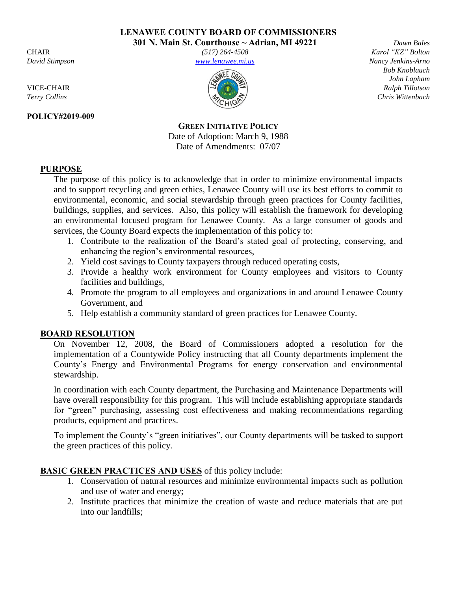**LENAWEE COUNTY BOARD OF COMMISSIONERS** 

**301 N. Main St. Courthouse ~ Adrian, MI 49221** *Dawn Bales* 

### **POLICY#2019-009**

CHAIR *(517) 264-4508 Karol "KZ" Bolton David Stimpson [www.lenawee.mi.us](http://www.lenawee.mi.us/) Nancy Jenkins-Arno* 



 *Bob Knoblauch John Lapham*  VICE-CHAIR *Ralph Tillotson Terry Collins* Chris Wittenbach **Chris** Chris Wittenbach **Chris** Chris Wittenbach **Chris** Chris Wittenbach **Chris** Chris Wittenbach **Chris** Chris Wittenbach **Chris** Chris Wittenbach **Chris** Chris Wittenbach **Chris** Chris

> **GREEN INITIATIVE POLICY** Date of Adoption: March 9, 1988 Date of Amendments: 07/07

# **PURPOSE**

The purpose of this policy is to acknowledge that in order to minimize environmental impacts and to support recycling and green ethics, Lenawee County will use its best efforts to commit to environmental, economic, and social stewardship through green practices for County facilities, buildings, supplies, and services. Also, this policy will establish the framework for developing an environmental focused program for Lenawee County. As a large consumer of goods and services, the County Board expects the implementation of this policy to:

- 1. Contribute to the realization of the Board's stated goal of protecting, conserving, and enhancing the region's environmental resources,
- 2. Yield cost savings to County taxpayers through reduced operating costs,
- 3. Provide a healthy work environment for County employees and visitors to County facilities and buildings,
- 4. Promote the program to all employees and organizations in and around Lenawee County Government, and
- 5. Help establish a community standard of green practices for Lenawee County.

## **BOARD RESOLUTION**

On November 12, 2008, the Board of Commissioners adopted a resolution for the implementation of a Countywide Policy instructing that all County departments implement the County's Energy and Environmental Programs for energy conservation and environmental stewardship.

In coordination with each County department, the Purchasing and Maintenance Departments will have overall responsibility for this program. This will include establishing appropriate standards for "green" purchasing, assessing cost effectiveness and making recommendations regarding products, equipment and practices.

To implement the County's "green initiatives", our County departments will be tasked to support the green practices of this policy.

# **BASIC GREEN PRACTICES AND USES** of this policy include:

- 1. Conservation of natural resources and minimize environmental impacts such as pollution and use of water and energy;
- 2. Institute practices that minimize the creation of waste and reduce materials that are put into our landfills;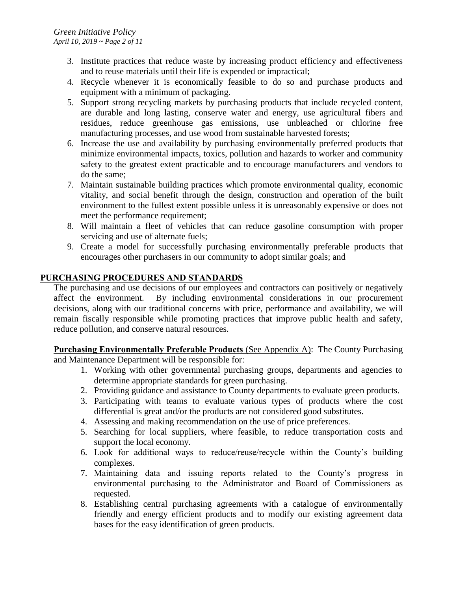- 3. Institute practices that reduce waste by increasing product efficiency and effectiveness and to reuse materials until their life is expended or impractical;
- 4. Recycle whenever it is economically feasible to do so and purchase products and equipment with a minimum of packaging.
- 5. Support strong recycling markets by purchasing products that include recycled content, are durable and long lasting, conserve water and energy, use agricultural fibers and residues, reduce greenhouse gas emissions, use unbleached or chlorine free manufacturing processes, and use wood from sustainable harvested forests;
- 6. Increase the use and availability by purchasing environmentally preferred products that minimize environmental impacts, toxics, pollution and hazards to worker and community safety to the greatest extent practicable and to encourage manufacturers and vendors to do the same;
- 7. Maintain sustainable building practices which promote environmental quality, economic vitality, and social benefit through the design, construction and operation of the built environment to the fullest extent possible unless it is unreasonably expensive or does not meet the performance requirement;
- 8. Will maintain a fleet of vehicles that can reduce gasoline consumption with proper servicing and use of alternate fuels;
- 9. Create a model for successfully purchasing environmentally preferable products that encourages other purchasers in our community to adopt similar goals; and

## **PURCHASING PROCEDURES AND STANDARDS**

The purchasing and use decisions of our employees and contractors can positively or negatively affect the environment. By including environmental considerations in our procurement decisions, along with our traditional concerns with price, performance and availability, we will remain fiscally responsible while promoting practices that improve public health and safety, reduce pollution, and conserve natural resources.

**Purchasing Environmentally Preferable Products** (See Appendix A): The County Purchasing and Maintenance Department will be responsible for:

- 1. Working with other governmental purchasing groups, departments and agencies to determine appropriate standards for green purchasing.
- 2. Providing guidance and assistance to County departments to evaluate green products.
- 3. Participating with teams to evaluate various types of products where the cost differential is great and/or the products are not considered good substitutes.
- 4. Assessing and making recommendation on the use of price preferences.
- 5. Searching for local suppliers, where feasible, to reduce transportation costs and support the local economy.
- 6. Look for additional ways to reduce/reuse/recycle within the County's building complexes.
- 7. Maintaining data and issuing reports related to the County's progress in environmental purchasing to the Administrator and Board of Commissioners as requested.
- 8. Establishing central purchasing agreements with a catalogue of environmentally friendly and energy efficient products and to modify our existing agreement data bases for the easy identification of green products.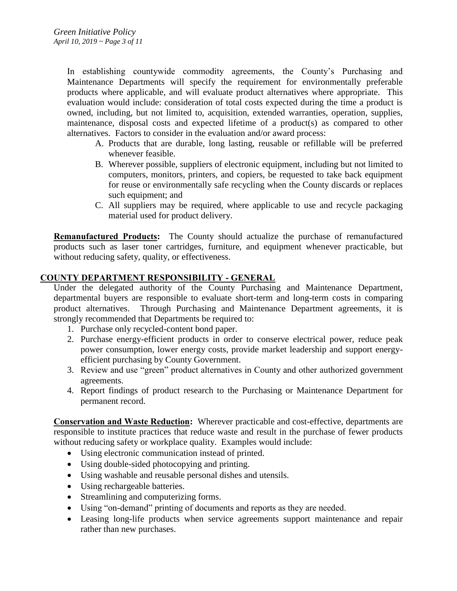In establishing countywide commodity agreements, the County's Purchasing and Maintenance Departments will specify the requirement for environmentally preferable products where applicable, and will evaluate product alternatives where appropriate. This evaluation would include: consideration of total costs expected during the time a product is owned, including, but not limited to, acquisition, extended warranties, operation, supplies, maintenance, disposal costs and expected lifetime of a product(s) as compared to other alternatives. Factors to consider in the evaluation and/or award process:

- A. Products that are durable, long lasting, reusable or refillable will be preferred whenever feasible.
- B. Wherever possible, suppliers of electronic equipment, including but not limited to computers, monitors, printers, and copiers, be requested to take back equipment for reuse or environmentally safe recycling when the County discards or replaces such equipment; and
- C. All suppliers may be required, where applicable to use and recycle packaging material used for product delivery.

**Remanufactured Products:** The County should actualize the purchase of remanufactured products such as laser toner cartridges, furniture, and equipment whenever practicable, but without reducing safety, quality, or effectiveness.

### **COUNTY DEPARTMENT RESPONSIBILITY - GENERAL**

Under the delegated authority of the County Purchasing and Maintenance Department, departmental buyers are responsible to evaluate short-term and long-term costs in comparing product alternatives. Through Purchasing and Maintenance Department agreements, it is strongly recommended that Departments be required to:

- 1. Purchase only recycled-content bond paper.
- 2. Purchase energy-efficient products in order to conserve electrical power, reduce peak power consumption, lower energy costs, provide market leadership and support energyefficient purchasing by County Government.
- 3. Review and use "green" product alternatives in County and other authorized government agreements.
- 4. Report findings of product research to the Purchasing or Maintenance Department for permanent record.

**Conservation and Waste Reduction:** Wherever practicable and cost-effective, departments are responsible to institute practices that reduce waste and result in the purchase of fewer products without reducing safety or workplace quality. Examples would include:

- Using electronic communication instead of printed.
- Using double-sided photocopying and printing.
- Using washable and reusable personal dishes and utensils.
- Using rechargeable batteries.
- Streamlining and computerizing forms.
- Using "on-demand" printing of documents and reports as they are needed.
- Leasing long-life products when service agreements support maintenance and repair rather than new purchases.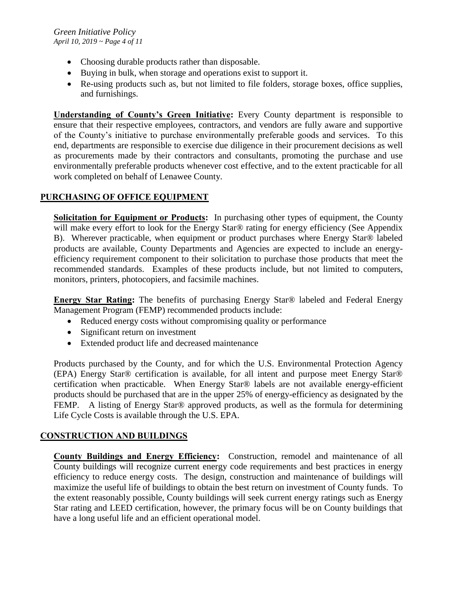- Choosing durable products rather than disposable.
- Buying in bulk, when storage and operations exist to support it.
- Re-using products such as, but not limited to file folders, storage boxes, office supplies, and furnishings.

**Understanding of County's Green Initiative:** Every County department is responsible to ensure that their respective employees, contractors, and vendors are fully aware and supportive of the County's initiative to purchase environmentally preferable goods and services. To this end, departments are responsible to exercise due diligence in their procurement decisions as well as procurements made by their contractors and consultants, promoting the purchase and use environmentally preferable products whenever cost effective, and to the extent practicable for all work completed on behalf of Lenawee County.

## **PURCHASING OF OFFICE EQUIPMENT**

**Solicitation for Equipment or Products:** In purchasing other types of equipment, the County will make every effort to look for the Energy Star® rating for energy efficiency (See Appendix B). Wherever practicable, when equipment or product purchases where Energy Star® labeled products are available, County Departments and Agencies are expected to include an energyefficiency requirement component to their solicitation to purchase those products that meet the recommended standards. Examples of these products include, but not limited to computers, monitors, printers, photocopiers, and facsimile machines.

**Energy Star Rating:** The benefits of purchasing Energy Star® labeled and Federal Energy Management Program (FEMP) recommended products include:

- Reduced energy costs without compromising quality or performance
- Significant return on investment
- Extended product life and decreased maintenance

Products purchased by the County, and for which the U.S. Environmental Protection Agency (EPA) Energy Star® certification is available, for all intent and purpose meet Energy Star® certification when practicable. When Energy Star® labels are not available energy-efficient products should be purchased that are in the upper 25% of energy-efficiency as designated by the FEMP. A listing of Energy Star<sup>®</sup> approved products, as well as the formula for determining Life Cycle Costs is available through the U.S. EPA.

## **CONSTRUCTION AND BUILDINGS**

**County Buildings and Energy Efficiency:** Construction, remodel and maintenance of all County buildings will recognize current energy code requirements and best practices in energy efficiency to reduce energy costs. The design, construction and maintenance of buildings will maximize the useful life of buildings to obtain the best return on investment of County funds. To the extent reasonably possible, County buildings will seek current energy ratings such as Energy Star rating and LEED certification, however, the primary focus will be on County buildings that have a long useful life and an efficient operational model.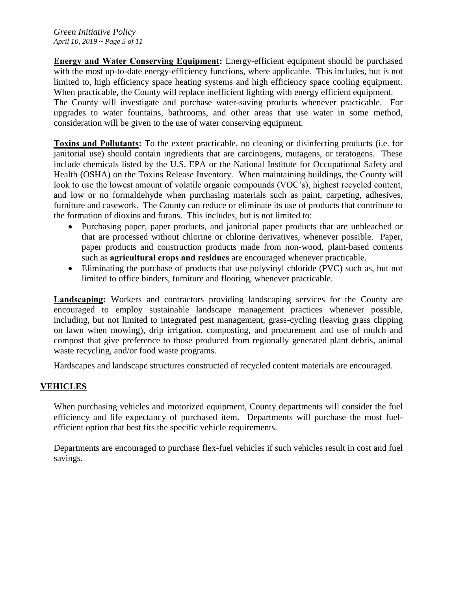**Energy and Water Conserving Equipment:** Energy-efficient equipment should be purchased with the most up-to-date energy-efficiency functions, where applicable. This includes, but is not limited to, high efficiency space heating systems and high efficiency space cooling equipment. When practicable, the County will replace inefficient lighting with energy efficient equipment.

The County will investigate and purchase water-saving products whenever practicable. For upgrades to water fountains, bathrooms, and other areas that use water in some method, consideration will be given to the use of water conserving equipment.

**Toxins and Pollutants:** To the extent practicable, no cleaning or disinfecting products (i.e. for janitorial use) should contain ingredients that are carcinogens, mutagens, or teratogens. These include chemicals listed by the U.S. EPA or the National Institute for Occupational Safety and Health (OSHA) on the Toxins Release Inventory. When maintaining buildings, the County will look to use the lowest amount of volatile organic compounds (VOC's), highest recycled content, and low or no formaldehyde when purchasing materials such as paint, carpeting, adhesives, furniture and casework. The County can reduce or eliminate its use of products that contribute to the formation of dioxins and furans. This includes, but is not limited to:

- Purchasing paper, paper products, and janitorial paper products that are unbleached or that are processed without chlorine or chlorine derivatives, whenever possible. Paper, paper products and construction products made from non-wood, plant-based contents such as **agricultural crops and residues** are encouraged whenever practicable.
- Eliminating the purchase of products that use polyvinyl chloride (PVC) such as, but not limited to office binders, furniture and flooring, whenever practicable.

**Landscaping:** Workers and contractors providing landscaping services for the County are encouraged to employ sustainable landscape management practices whenever possible, including, but not limited to integrated pest management, grass-cycling (leaving grass clipping on lawn when mowing), drip irrigation, composting, and procurement and use of mulch and compost that give preference to those produced from regionally generated plant debris, animal waste recycling, and/or food waste programs.

Hardscapes and landscape structures constructed of recycled content materials are encouraged.

## **VEHICLES**

When purchasing vehicles and motorized equipment, County departments will consider the fuel efficiency and life expectancy of purchased item. Departments will purchase the most fuelefficient option that best fits the specific vehicle requirements.

Departments are encouraged to purchase flex-fuel vehicles if such vehicles result in cost and fuel savings.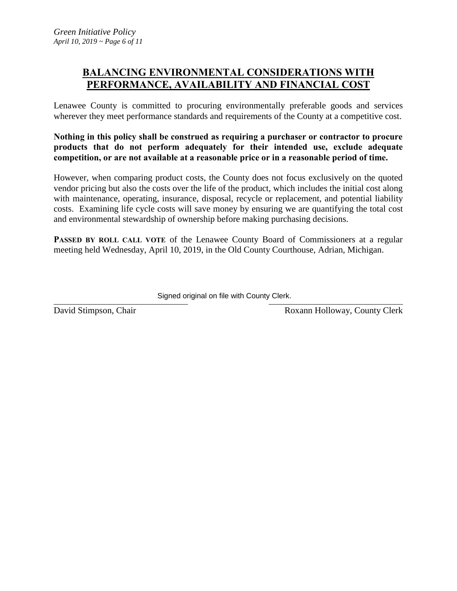# **BALANCING ENVIRONMENTAL CONSIDERATIONS WITH PERFORMANCE, AVAILABILITY AND FINANCIAL COST**

Lenawee County is committed to procuring environmentally preferable goods and services wherever they meet performance standards and requirements of the County at a competitive cost.

**Nothing in this policy shall be construed as requiring a purchaser or contractor to procure products that do not perform adequately for their intended use, exclude adequate competition, or are not available at a reasonable price or in a reasonable period of time.** 

However, when comparing product costs, the County does not focus exclusively on the quoted vendor pricing but also the costs over the life of the product, which includes the initial cost along with maintenance, operating, insurance, disposal, recycle or replacement, and potential liability costs. Examining life cycle costs will save money by ensuring we are quantifying the total cost and environmental stewardship of ownership before making purchasing decisions.

**PASSED BY ROLL CALL VOTE** of the Lenawee County Board of Commissioners at a regular meeting held Wednesday, April 10, 2019, in the Old County Courthouse, Adrian, Michigan.

Signed original on file with County Clerk.

David Stimpson, Chair Roxann Holloway, County Clerk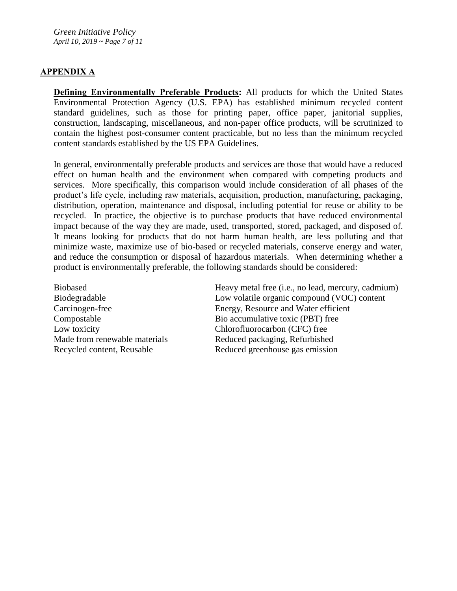*Green Initiative Policy April 10, 2019 ~ Page 7 of 11*

### **APPENDIX A**

**Defining Environmentally Preferable Products:** All products for which the United States Environmental Protection Agency (U.S. EPA) has established minimum recycled content standard guidelines, such as those for printing paper, office paper, janitorial supplies, construction, landscaping, miscellaneous, and non-paper office products, will be scrutinized to contain the highest post-consumer content practicable, but no less than the minimum recycled content standards established by the US EPA Guidelines.

In general, environmentally preferable products and services are those that would have a reduced effect on human health and the environment when compared with competing products and services. More specifically, this comparison would include consideration of all phases of the product's life cycle, including raw materials, acquisition, production, manufacturing, packaging, distribution, operation, maintenance and disposal, including potential for reuse or ability to be recycled. In practice, the objective is to purchase products that have reduced environmental impact because of the way they are made, used, transported, stored, packaged, and disposed of. It means looking for products that do not harm human health, are less polluting and that minimize waste, maximize use of bio-based or recycled materials, conserve energy and water, and reduce the consumption or disposal of hazardous materials. When determining whether a product is environmentally preferable, the following standards should be considered:

Low toxicity Chlorofluorocarbon (CFC) free

Biobased Heavy metal free (i.e., no lead, mercury, cadmium) Biodegradable Low volatile organic compound (VOC) content Carcinogen-free Energy, Resource and Water efficient Compostable Bio accumulative toxic (PBT) free Made from renewable materials Reduced packaging, Refurbished Recycled content, Reusable Reduced greenhouse gas emission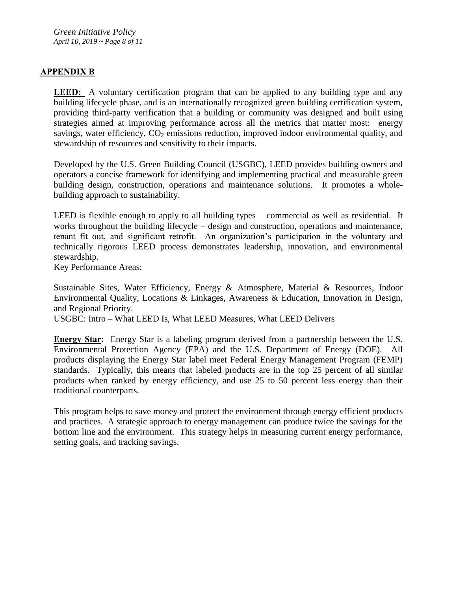### **APPENDIX B**

**LEED:** A voluntary certification program that can be applied to any building type and any building lifecycle phase, and is an internationally recognized green building certification system, providing third-party verification that a building or community was designed and built using strategies aimed at improving performance across all the metrics that matter most: energy savings, water efficiency,  $CO<sub>2</sub>$  emissions reduction, improved indoor environmental quality, and stewardship of resources and sensitivity to their impacts.

Developed by the U.S. Green Building Council (USGBC), LEED provides building owners and operators a concise framework for identifying and implementing practical and measurable green building design, construction, operations and maintenance solutions. It promotes a wholebuilding approach to sustainability.

LEED is flexible enough to apply to all building types – commercial as well as residential. It works throughout the building lifecycle – design and construction, operations and maintenance, tenant fit out, and significant retrofit. An organization's participation in the voluntary and technically rigorous LEED process demonstrates leadership, innovation, and environmental stewardship.

Key Performance Areas:

Sustainable Sites, Water Efficiency, Energy & Atmosphere, Material & Resources, Indoor Environmental Quality, Locations & Linkages, Awareness & Education, Innovation in Design, and Regional Priority.

USGBC: Intro – What LEED Is, What LEED Measures, What LEED Delivers

**Energy Star:** Energy Star is a labeling program derived from a partnership between the U.S. Environmental Protection Agency (EPA) and the U.S. Department of Energy (DOE). All products displaying the Energy Star label meet Federal Energy Management Program (FEMP) standards. Typically, this means that labeled products are in the top 25 percent of all similar products when ranked by energy efficiency, and use 25 to 50 percent less energy than their traditional counterparts.

This program helps to save money and protect the environment through energy efficient products and practices. A strategic approach to energy management can produce twice the savings for the bottom line and the environment. This strategy helps in measuring current energy performance, setting goals, and tracking savings.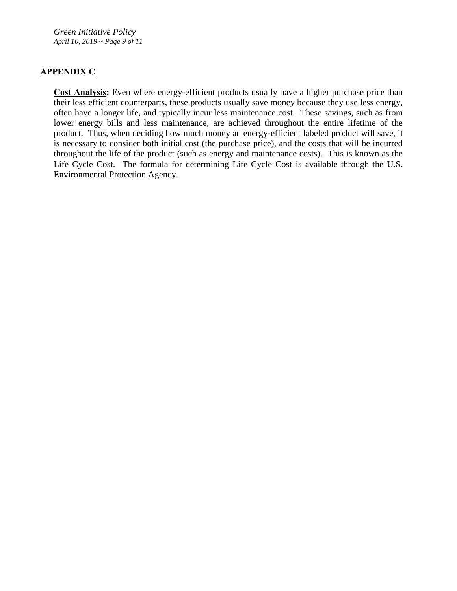*Green Initiative Policy April 10, 2019 ~ Page 9 of 11*

### **APPENDIX C**

**Cost Analysis:** Even where energy-efficient products usually have a higher purchase price than their less efficient counterparts, these products usually save money because they use less energy, often have a longer life, and typically incur less maintenance cost. These savings, such as from lower energy bills and less maintenance, are achieved throughout the entire lifetime of the product. Thus, when deciding how much money an energy-efficient labeled product will save, it is necessary to consider both initial cost (the purchase price), and the costs that will be incurred throughout the life of the product (such as energy and maintenance costs). This is known as the Life Cycle Cost. The formula for determining Life Cycle Cost is available through the U.S. Environmental Protection Agency.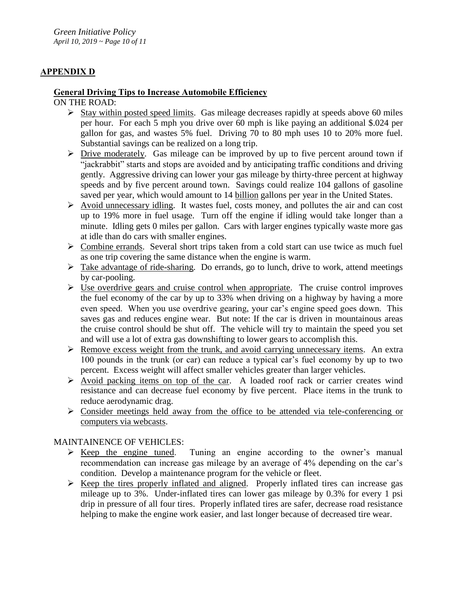# **APPENDIX D**

# **General Driving Tips to Increase Automobile Efficiency**

ON THE ROAD:

- $\triangleright$  Stay within posted speed limits. Gas mileage decreases rapidly at speeds above 60 miles per hour. For each 5 mph you drive over 60 mph is like paying an additional \$.024 per gallon for gas, and wastes 5% fuel. Driving 70 to 80 mph uses 10 to 20% more fuel. Substantial savings can be realized on a long trip.
- $\triangleright$  Drive moderately. Gas mileage can be improved by up to five percent around town if "jackrabbit" starts and stops are avoided and by anticipating traffic conditions and driving gently. Aggressive driving can lower your gas mileage by thirty-three percent at highway speeds and by five percent around town. Savings could realize 104 gallons of gasoline saved per year, which would amount to 14 billion gallons per year in the United States.
- $\triangleright$  Avoid unnecessary idling. It wastes fuel, costs money, and pollutes the air and can cost up to 19% more in fuel usage. Turn off the engine if idling would take longer than a minute. Idling gets 0 miles per gallon. Cars with larger engines typically waste more gas at idle than do cars with smaller engines.
- $\triangleright$  Combine errands. Several short trips taken from a cold start can use twice as much fuel as one trip covering the same distance when the engine is warm.
- $\triangleright$  Take advantage of ride-sharing. Do errands, go to lunch, drive to work, attend meetings by car-pooling.
- $\triangleright$  Use overdrive gears and cruise control when appropriate. The cruise control improves the fuel economy of the car by up to 33% when driving on a highway by having a more even speed. When you use overdrive gearing, your car's engine speed goes down. This saves gas and reduces engine wear. But note: If the car is driven in mountainous areas the cruise control should be shut off. The vehicle will try to maintain the speed you set and will use a lot of extra gas downshifting to lower gears to accomplish this.
- $\triangleright$  Remove excess weight from the trunk, and avoid carrying unnecessary items. An extra 100 pounds in the trunk (or car) can reduce a typical car's fuel economy by up to two percent. Excess weight will affect smaller vehicles greater than larger vehicles.
- $\triangleright$  Avoid packing items on top of the car. A loaded roof rack or carrier creates wind resistance and can decrease fuel economy by five percent. Place items in the trunk to reduce aerodynamic drag.
- $\triangleright$  Consider meetings held away from the office to be attended via tele-conferencing or computers via webcasts.

MAINTAINENCE OF VEHICLES:

- $\triangleright$  Keep the engine tuned. Tuning an engine according to the owner's manual recommendation can increase gas mileage by an average of 4% depending on the car's condition. Develop a maintenance program for the vehicle or fleet.
- $\triangleright$  Keep the tires properly inflated and aligned. Properly inflated tires can increase gas mileage up to 3%. Under-inflated tires can lower gas mileage by 0.3% for every 1 psi drip in pressure of all four tires. Properly inflated tires are safer, decrease road resistance helping to make the engine work easier, and last longer because of decreased tire wear.